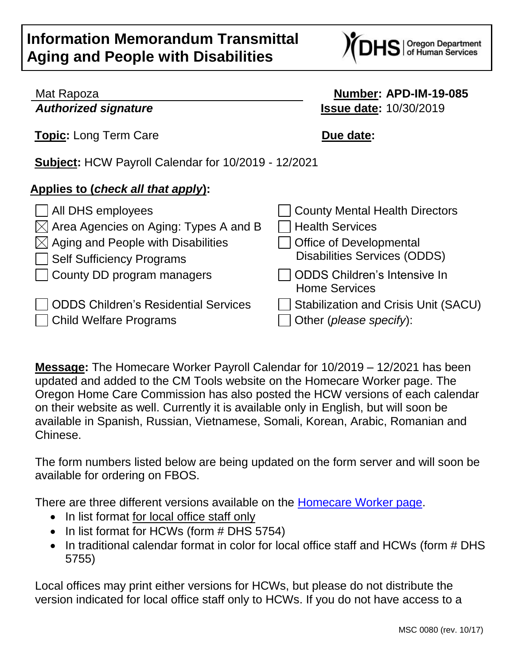## **Information Memorandum Transmittal Aging and People with Disabilities**



| Mat Rapoza |  |
|------------|--|
|------------|--|

## Mat Rapoza **Number: APD-IM-19-085** *Authorized signature* **Issue date:** 10/30/2019

**Topic:** Long Term Care **Due date:** 

**Subject:** HCW Payroll Calendar for 10/2019 - 12/2021

## **Applies to (***check all that apply***):**

| All DHS employees                                                     | County Mental Health Directors                                         |
|-----------------------------------------------------------------------|------------------------------------------------------------------------|
| $\boxtimes$ Area Agencies on Aging: Types A and B                     | Health Services                                                        |
| $\boxtimes$ Aging and People with Disabilities                        | <b>Office of Developmental</b>                                         |
| Self Sufficiency Programs                                             | <b>Disabilities Services (ODDS)</b>                                    |
| County DD program managers                                            | ODDS Children's Intensive In<br><b>Home Services</b>                   |
| <b>ODDS Children's Residential Services</b><br>Child Welfare Programs | <b>Stabilization and Crisis Unit (SACU)</b><br>Other (please specify): |

**Message:** The Homecare Worker Payroll Calendar for 10/2019 – 12/2021 has been updated and added to the CM Tools website on the Homecare Worker page. The Oregon Home Care Commission has also posted the HCW versions of each calendar on their website as well. Currently it is available only in English, but will soon be available in Spanish, Russian, Vietnamese, Somali, Korean, Arabic, Romanian and Chinese.

The form numbers listed below are being updated on the form server and will soon be available for ordering on FBOS.

There are three different versions available on the [Homecare Worker page.](http://www.dhs.state.or.us/spd/tools/cm/homecare/index.htm)

- In list format for local office staff only
- In list format for HCWs (form # DHS 5754)
- In traditional calendar format in color for local office staff and HCWs (form # DHS 5755)

Local offices may print either versions for HCWs, but please do not distribute the version indicated for local office staff only to HCWs. If you do not have access to a